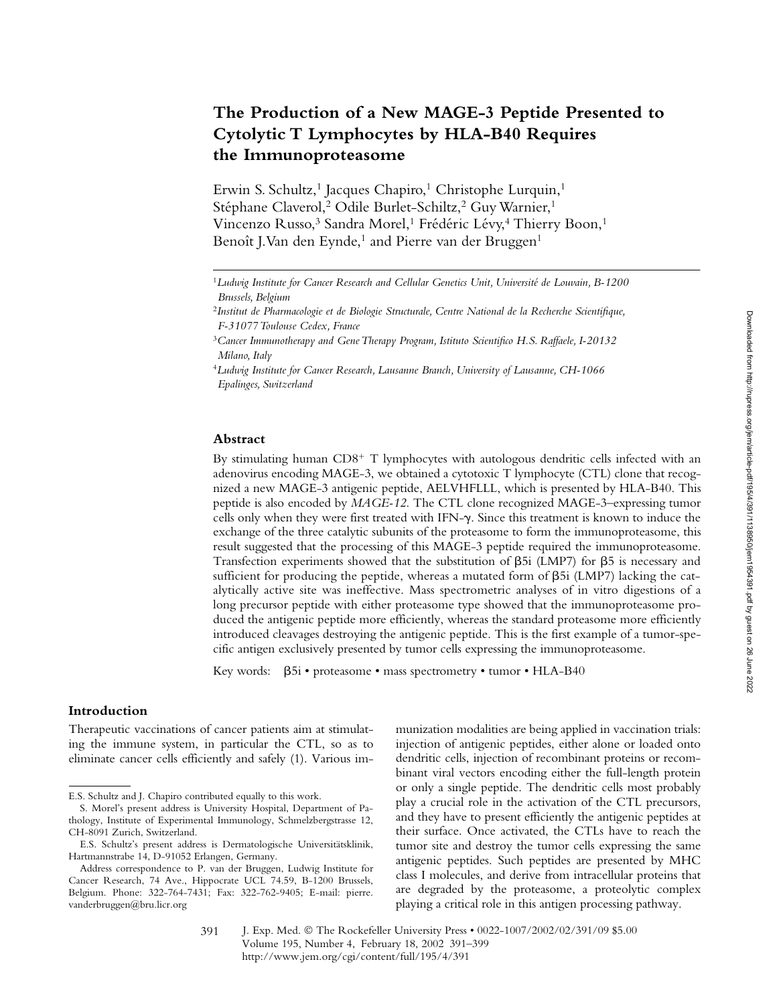# **The Production of a New MAGE-3 Peptide Presented to Cytolytic T Lymphocytes by HLA-B40 Requires the Immunoproteasome**

Erwin S. Schultz,<sup>1</sup> Jacques Chapiro,<sup>1</sup> Christophe Lurquin,<sup>1</sup> Stéphane Claverol,<sup>2</sup> Odile Burlet-Schiltz,<sup>2</sup> Guy Warnier,<sup>1</sup> Vincenzo Russo,<sup>3</sup> Sandra Morel,<sup>1</sup> Frédéric Lévy,<sup>4</sup> Thierry Boon,<sup>1</sup> Benoît J. Van den Eynde,<sup>1</sup> and Pierre van der Bruggen<sup>1</sup>

## **Abstract**

By stimulating human CD8<sup>+</sup> T lymphocytes with autologous dendritic cells infected with an adenovirus encoding MAGE-3, we obtained a cytotoxic T lymphocyte (CTL) clone that recognized a new MAGE-3 antigenic peptide, AELVHFLLL, which is presented by HLA-B40. This peptide is also encoded by *MAGE-12*. The CTL clone recognized MAGE-3–expressing tumor cells only when they were first treated with IFN- $\gamma$ . Since this treatment is known to induce the exchange of the three catalytic subunits of the proteasome to form the immunoproteasome, this result suggested that the processing of this MAGE-3 peptide required the immunoproteasome. Transfection experiments showed that the substitution of  $\beta$ 5i (LMP7) for  $\beta$ 5 is necessary and sufficient for producing the peptide, whereas a mutated form of  $\beta$ 5i (LMP7) lacking the catalytically active site was ineffective. Mass spectrometric analyses of in vitro digestions of a long precursor peptide with either proteasome type showed that the immunoproteasome produced the antigenic peptide more efficiently, whereas the standard proteasome more efficiently introduced cleavages destroying the antigenic peptide. This is the first example of a tumor-specific antigen exclusively presented by tumor cells expressing the immunoproteasome.

Key words:  $\beta$ 5i • proteasome • mass spectrometry • tumor • HLA-B40

# **Introduction**

Therapeutic vaccinations of cancer patients aim at stimulating the immune system, in particular the CTL, so as to eliminate cancer cells efficiently and safely (1). Various im-

munization modalities are being applied in vaccination trials: injection of antigenic peptides, either alone or loaded onto dendritic cells, injection of recombinant proteins or recombinant viral vectors encoding either the full-length protein or only a single peptide. The dendritic cells most probably play a crucial role in the activation of the CTL precursors, and they have to present efficiently the antigenic peptides at their surface. Once activated, the CTLs have to reach the tumor site and destroy the tumor cells expressing the same antigenic peptides. Such peptides are presented by MHC class I molecules, and derive from intracellular proteins that are degraded by the proteasome, a proteolytic complex playing a critical role in this antigen processing pathway.

<sup>1</sup>*Ludwig Institute for Cancer Research and Cellular Genetics Unit, Université de Louvain, B-1200 Brussels, Belgium*

<sup>2</sup>*Institut de Pharmacologie et de Biologie Structurale, Centre National de la Recherche Scientifique, F-31077 Toulouse Cedex, France*

<sup>3</sup>*Cancer Immunotherapy and Gene Therapy Program, Istituto Scientifico H.S. Raffaele, I-20132 Milano, Italy*

<sup>4</sup>*Ludwig Institute for Cancer Research, Lausanne Branch, University of Lausanne, CH-1066 Epalinges, Switzerland*

E.S. Schultz and J. Chapiro contributed equally to this work.

S. Morel's present address is University Hospital, Department of Pathology, Institute of Experimental Immunology, Schmelzbergstrasse 12, CH-8091 Zurich, Switzerland.

E.S. Schultz's present address is Dermatologische Universitätsklinik, Hartmannstrabe 14, D-91052 Erlangen, Germany.

Address correspondence to P. van der Bruggen, Ludwig Institute for Cancer Research, 74 Ave., Hippocrate UCL 74.59, B-1200 Brussels, Belgium. Phone: 322-764-7431; Fax: 322-762-9405; E-mail: pierre. vanderbruggen@bru.licr.org

J. Exp. Med. © The Rockefeller University Press • 0022-1007/2002/02/391/09 \$5.00 Volume 195, Number 4, February 18, 2002 391–399 http://www.jem.org/cgi/content/full/195/4/391 391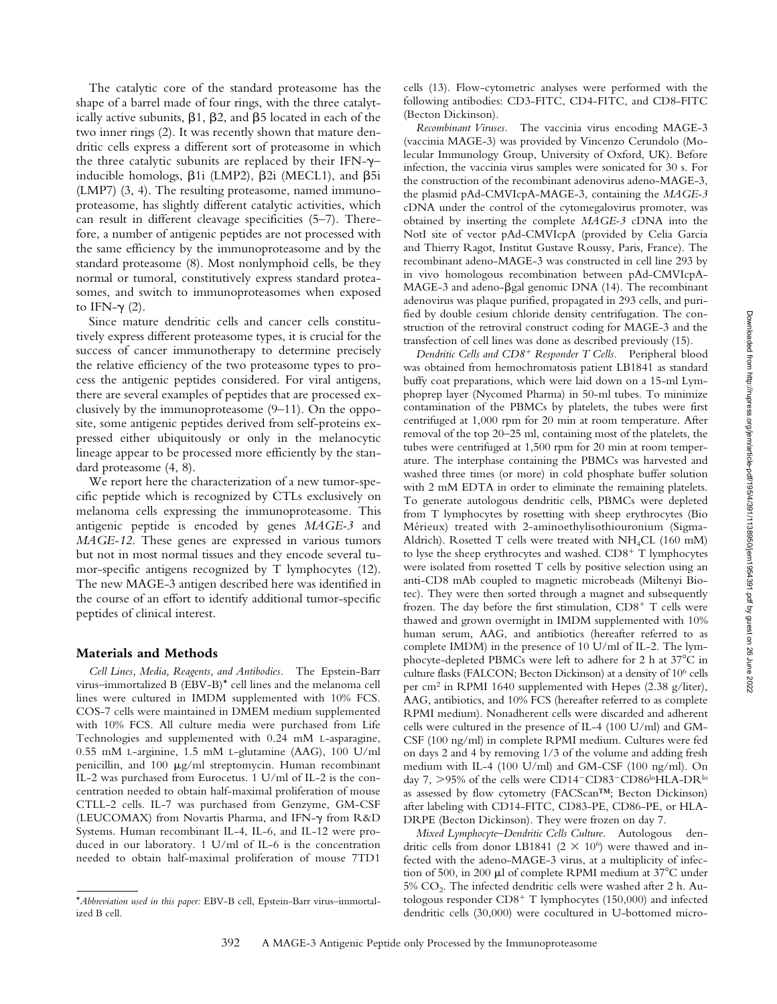The catalytic core of the standard proteasome has the shape of a barrel made of four rings, with the three catalytically active subunits,  $\beta$ 1,  $\beta$ 2, and  $\beta$ 5 located in each of the two inner rings (2). It was recently shown that mature dendritic cells express a different sort of proteasome in which the three catalytic subunits are replaced by their IFN- $\gamma$ – inducible homologs,  $\beta$ 1i (LMP2),  $\beta$ 2i (MECL1), and  $\beta$ 5i (LMP7) (3, 4). The resulting proteasome, named immunoproteasome, has slightly different catalytic activities, which can result in different cleavage specificities (5–7). Therefore, a number of antigenic peptides are not processed with the same efficiency by the immunoproteasome and by the standard proteasome (8). Most nonlymphoid cells, be they normal or tumoral, constitutively express standard proteasomes, and switch to immunoproteasomes when exposed to IFN- $\gamma$  (2).

Since mature dendritic cells and cancer cells constitutively express different proteasome types, it is crucial for the success of cancer immunotherapy to determine precisely the relative efficiency of the two proteasome types to process the antigenic peptides considered. For viral antigens, there are several examples of peptides that are processed exclusively by the immunoproteasome (9–11). On the opposite, some antigenic peptides derived from self-proteins expressed either ubiquitously or only in the melanocytic lineage appear to be processed more efficiently by the standard proteasome (4, 8).

We report here the characterization of a new tumor-specific peptide which is recognized by CTLs exclusively on melanoma cells expressing the immunoproteasome. This antigenic peptide is encoded by genes *MAGE-3* and *MAGE-12*. These genes are expressed in various tumors but not in most normal tissues and they encode several tumor-specific antigens recognized by T lymphocytes (12). The new MAGE-3 antigen described here was identified in the course of an effort to identify additional tumor-specific peptides of clinical interest.

#### **Materials and Methods**

*Cell Lines, Media, Reagents, and Antibodies.* The Epstein-Barr virus–immortalized B (EBV-B)\* cell lines and the melanoma cell lines were cultured in IMDM supplemented with 10% FCS. COS-7 cells were maintained in DMEM medium supplemented with 10% FCS. All culture media were purchased from Life Technologies and supplemented with 0.24 mM L-asparagine, 0.55 mM L-arginine, 1.5 mM L-glutamine (AAG), 100 U/ml penicillin, and  $100 \mu g/ml$  streptomycin. Human recombinant IL-2 was purchased from Eurocetus. 1 U/ml of IL-2 is the concentration needed to obtain half-maximal proliferation of mouse CTLL-2 cells. IL-7 was purchased from Genzyme, GM-CSF (LEUCOMAX) from Novartis Pharma, and IFN- $\gamma$  from R&D Systems. Human recombinant IL-4, IL-6, and IL-12 were produced in our laboratory. 1 U/ml of IL-6 is the concentration needed to obtain half-maximal proliferation of mouse 7TD1

cells (13). Flow-cytometric analyses were performed with the following antibodies: CD3-FITC, CD4-FITC, and CD8-FITC (Becton Dickinson).

*Recombinant Viruses.* The vaccinia virus encoding MAGE-3 (vaccinia MAGE-3) was provided by Vincenzo Cerundolo (Molecular Immunology Group, University of Oxford, UK). Before infection, the vaccinia virus samples were sonicated for 30 s. For the construction of the recombinant adenovirus adeno-MAGE-3, the plasmid pAd-CMVIcpA-MAGE-3, containing the *MAGE-3* cDNA under the control of the cytomegalovirus promoter, was obtained by inserting the complete *MAGE-3* cDNA into the NotI site of vector pAd-CMVIcpA (provided by Celia Garcia and Thierry Ragot, Institut Gustave Roussy, Paris, France). The recombinant adeno-MAGE-3 was constructed in cell line 293 by in vivo homologous recombination between pAd-CMVIcpA- $MAGE-3$  and adeno- $\beta$ gal genomic DNA (14). The recombinant adenovirus was plaque purified, propagated in 293 cells, and purified by double cesium chloride density centrifugation. The construction of the retroviral construct coding for MAGE-3 and the transfection of cell lines was done as described previously (15).

*Dendritic Cells and CD8*- *Responder T Cells.* Peripheral blood was obtained from hemochromatosis patient LB1841 as standard buffy coat preparations, which were laid down on a 15-ml Lymphoprep layer (Nycomed Pharma) in 50-ml tubes. To minimize contamination of the PBMCs by platelets, the tubes were first centrifuged at 1,000 rpm for 20 min at room temperature. After removal of the top 20–25 ml, containing most of the platelets, the tubes were centrifuged at 1,500 rpm for 20 min at room temperature. The interphase containing the PBMCs was harvested and washed three times (or more) in cold phosphate buffer solution with 2 mM EDTA in order to eliminate the remaining platelets. To generate autologous dendritic cells, PBMCs were depleted from T lymphocytes by rosetting with sheep erythrocytes (Bio Mérieux) treated with 2-aminoethylisothiouronium (Sigma-Aldrich). Rosetted T cells were treated with  $NH<sub>4</sub>CL$  (160 mM) to lyse the sheep erythrocytes and washed. CD8<sup>+</sup> T lymphocytes were isolated from rosetted T cells by positive selection using an anti-CD8 mAb coupled to magnetic microbeads (Miltenyi Biotec). They were then sorted through a magnet and subsequently frozen. The day before the first stimulation, CD8<sup>+</sup> T cells were thawed and grown overnight in IMDM supplemented with 10% human serum, AAG, and antibiotics (hereafter referred to as complete IMDM) in the presence of 10 U/ml of IL-2. The lymphocyte-depleted PBMCs were left to adhere for 2 h at 37°C in culture flasks (FALCON; Becton Dickinson) at a density of 106 cells per cm2 in RPMI 1640 supplemented with Hepes (2.38 g/liter), AAG, antibiotics, and 10% FCS (hereafter referred to as complete RPMI medium). Nonadherent cells were discarded and adherent cells were cultured in the presence of IL-4 (100 U/ml) and GM-CSF (100 ng/ml) in complete RPMI medium. Cultures were fed on days 2 and 4 by removing 1/3 of the volume and adding fresh medium with IL-4 (100 U/ml) and GM-CSF (100 ng/ml). On day 7,  $>95\%$  of the cells were CD14<sup>-</sup>CD83<sup>-</sup>CD86<sup>lo</sup>HLA-DR<sup>lo</sup> as assessed by flow cytometry (FACScan™; Becton Dickinson) after labeling with CD14-FITC, CD83-PE, CD86-PE, or HLA-DRPE (Becton Dickinson). They were frozen on day 7.

*Mixed Lymphocyte–Dendritic Cells Culture.* Autologous dendritic cells from donor LB1841 ( $2 \times 10^6$ ) were thawed and infected with the adeno-MAGE-3 virus, at a multiplicity of infection of 500, in 200  $\mu$ l of complete RPMI medium at 37°C under  $5\%$  CO<sub>2</sub>. The infected dendritic cells were washed after 2 h. Autologous responder CD8<sup>+</sup> T lymphocytes (150,000) and infected dendritic cells (30,000) were cocultured in U-bottomed micro-

<sup>\*</sup>*Abbreviation used in this paper:* EBV-B cell, Epstein-Barr virus–immortalized B cell.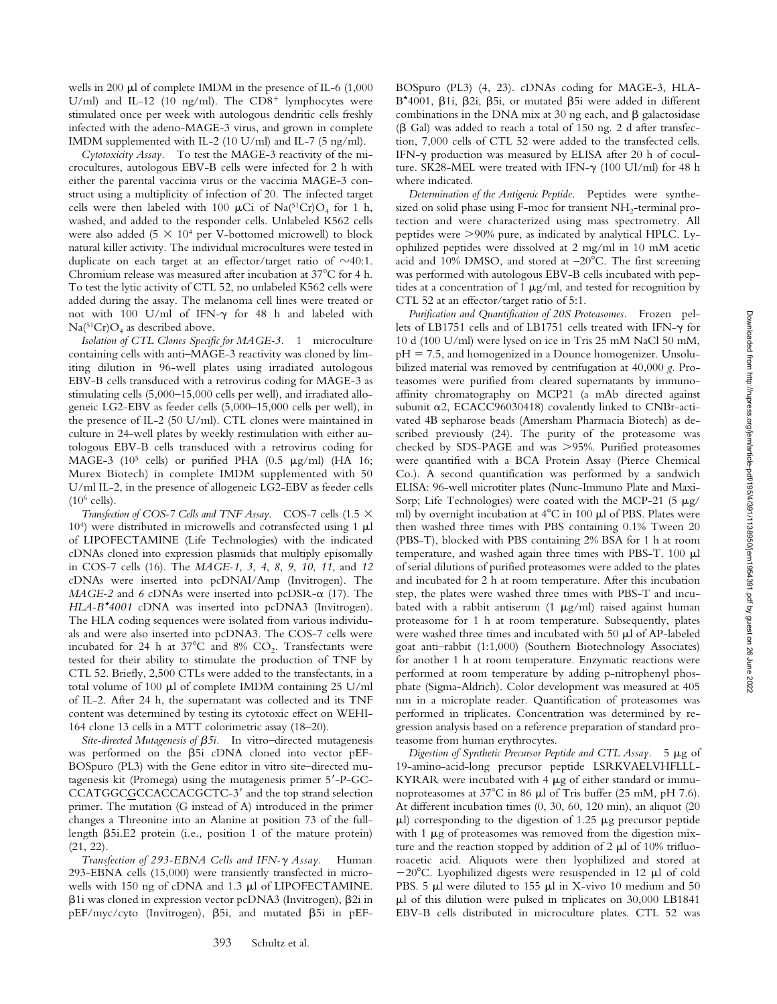wells in 200  $\mu$ l of complete IMDM in the presence of IL-6 (1,000 U/ml) and IL-12 (10 ng/ml). The  $CD8$ <sup>+</sup> lymphocytes were stimulated once per week with autologous dendritic cells freshly infected with the adeno-MAGE-3 virus, and grown in complete IMDM supplemented with IL-2 (10 U/ml) and IL-7 (5 ng/ml).

*Cytotoxicity Assay.* To test the MAGE-3 reactivity of the microcultures, autologous EBV-B cells were infected for 2 h with either the parental vaccinia virus or the vaccinia MAGE-3 construct using a multiplicity of infection of 20. The infected target cells were then labeled with 100  $\mu$ Ci of Na(<sup>51</sup>Cr)O<sub>4</sub> for 1 h, washed, and added to the responder cells. Unlabeled K562 cells were also added (5  $\times$  10<sup>4</sup> per V-bottomed microwell) to block natural killer activity. The individual microcultures were tested in duplicate on each target at an effector/target ratio of  $\sim$ 40:1. Chromium release was measured after incubation at  $37^{\circ}$ C for 4 h. To test the lytic activity of CTL 52, no unlabeled K562 cells were added during the assay. The melanoma cell lines were treated or not with 100 U/ml of IFN- $\gamma$  for 48 h and labeled with  $Na<sup>(51</sup>Cr)O<sub>4</sub>$  as described above.

*Isolation of CTL Clones Specific for MAGE-3.* 1 microculture containing cells with anti–MAGE-3 reactivity was cloned by limiting dilution in 96-well plates using irradiated autologous EBV-B cells transduced with a retrovirus coding for MAGE-3 as stimulating cells (5,000–15,000 cells per well), and irradiated allogeneic LG2-EBV as feeder cells (5,000–15,000 cells per well), in the presence of IL-2 (50 U/ml). CTL clones were maintained in culture in 24-well plates by weekly restimulation with either autologous EBV-B cells transduced with a retrovirus coding for MAGE-3 (10<sup>5</sup> cells) or purified PHA (0.5  $\mu$ g/ml) (HA 16; Murex Biotech) in complete IMDM supplemented with 50 U/ml IL-2, in the presence of allogeneic LG2-EBV as feeder cells  $(10<sup>6</sup>$  cells).

*Transfection of COS-7 Cells and TNF Assay.* COS-7 cells (1.5  $\times$  $10<sup>4</sup>$ ) were distributed in microwells and cotransfected using 1  $\mu$ l of LIPOFECTAMINE (Life Technologies) with the indicated cDNAs cloned into expression plasmids that multiply episomally in COS-7 cells (16). The *MAGE-1*, *3*, *4*, *8*, *9*, *10*, *11*, and *12* cDNAs were inserted into pcDNAI/Amp (Invitrogen). The *MAGE-2* and *6* cDNAs were inserted into pcDSR-α (17). The *HLA-B\*4001* cDNA was inserted into pcDNA3 (Invitrogen). The HLA coding sequences were isolated from various individuals and were also inserted into pcDNA3. The COS-7 cells were incubated for 24 h at  $37^{\circ}$ C and 8% CO<sub>2</sub>. Transfectants were tested for their ability to stimulate the production of TNF by CTL 52. Briefly, 2,500 CTLs were added to the transfectants, in a total volume of 100  $\mu$ l of complete IMDM containing 25 U/ml of IL-2. After 24 h, the supernatant was collected and its TNF content was determined by testing its cytotoxic effect on WEHI-164 clone 13 cells in a MTT colorimetric assay (18–20).

*Site-directed Mutagenesis of 5i.* In vitro–directed mutagenesis was performed on the  $\beta$ 5i cDNA cloned into vector pEF-BOSpuro (PL3) with the Gene editor in vitro site–directed mutagenesis kit (Promega) using the mutagenesis primer 5'-P-GC-CCATGGCGCCACCACGCTC-3' and the top strand selection primer. The mutation (G instead of A) introduced in the primer changes a Threonine into an Alanine at position 73 of the fulllength  $\beta$ 5i.E2 protein (i.e., position 1 of the mature protein) (21, 22).

*Transfection of 293-EBNA Cells and IFN- Assay.* Human 293-EBNA cells (15,000) were transiently transfected in microwells with 150 ng of cDNA and 1.3  $\mu$ l of LIPOFECTAMINE.  $\beta$ 1i was cloned in expression vector pcDNA3 (Invitrogen),  $\beta$ 2i in pEF/myc/cyto (Invitrogen),  $\beta$ 5i, and mutated  $\beta$ 5i in pEF-

BOSpuro (PL3) (4, 23). cDNAs coding for MAGE-3, HLA- $B*4001$ ,  $\beta$ 1i,  $\beta$ 2i,  $\beta$ 5i, or mutated  $\beta$ 5i were added in different combinations in the DNA mix at 30 ng each, and  $\beta$  galactosidase  $(\beta$  Gal) was added to reach a total of 150 ng. 2 d after transfection, 7,000 cells of CTL 52 were added to the transfected cells. IFN- $\gamma$  production was measured by ELISA after 20 h of coculture. SK28-MEL were treated with IFN- $\gamma$  (100 UI/ml) for 48 h where indicated.

*Determination of the Antigenic Peptide.* Peptides were synthesized on solid phase using  $F$ -moc for transient  $NH<sub>2</sub>$ -terminal protection and were characterized using mass spectrometry. All peptides were  $>90\%$  pure, as indicated by analytical HPLC. Lyophilized peptides were dissolved at 2 mg/ml in 10 mM acetic acid and 10% DMSO, and stored at  $-20^{\circ}$ C. The first screening was performed with autologous EBV-B cells incubated with peptides at a concentration of 1  $\mu$ g/ml, and tested for recognition by CTL 52 at an effector/target ratio of 5:1.

*Purification and Quantification of 20S Proteasomes.* Frozen pellets of LB1751 cells and of LB1751 cells treated with IFN- $\gamma$  for 10 d (100 U/ml) were lysed on ice in Tris 25 mM NaCl 50 mM,  $pH = 7.5$ , and homogenized in a Dounce homogenizer. Unsolubilized material was removed by centrifugation at 40,000 *g*. Proteasomes were purified from cleared supernatants by immunoaffinity chromatography on MCP21 (a mAb directed against subunit a2, ECACC96030418) covalently linked to CNBr-activated 4B sepharose beads (Amersham Pharmacia Biotech) as described previously (24). The purity of the proteasome was checked by SDS-PAGE and was  $>95\%$ . Purified proteasomes were quantified with a BCA Protein Assay (Pierce Chemical Co.). A second quantification was performed by a sandwich ELISA: 96-well microtiter plates (Nunc-Immuno Plate and Maxi-Sorp; Life Technologies) were coated with the MCP-21 (5  $\mu$ g/ ml) by overnight incubation at  $4^{\circ}$ C in 100  $\mu$ l of PBS. Plates were then washed three times with PBS containing 0.1% Tween 20 (PBS-T), blocked with PBS containing 2% BSA for 1 h at room temperature, and washed again three times with PBS-T. 100  $\mu$ l of serial dilutions of purified proteasomes were added to the plates and incubated for 2 h at room temperature. After this incubation step, the plates were washed three times with PBS-T and incubated with a rabbit antiserum (1  $\mu$ g/ml) raised against human proteasome for 1 h at room temperature. Subsequently, plates were washed three times and incubated with 50  $\mu$ l of AP-labeled goat anti–rabbit (1:1,000) (Southern Biotechnology Associates) for another 1 h at room temperature. Enzymatic reactions were performed at room temperature by adding p-nitrophenyl phosphate (Sigma-Aldrich). Color development was measured at 405 nm in a microplate reader. Quantification of proteasomes was performed in triplicates. Concentration was determined by regression analysis based on a reference preparation of standard proteasome from human erythrocytes.

*Digestion of Synthetic Precursor Peptide and CTL Assay.* 5  $\mu$ g of 19-amino-acid-long precursor peptide LSRKVAELVHFLLL-KYRAR were incubated with  $4 \mu g$  of either standard or immunoproteasomes at  $37^{\circ}$ C in 86  $\mu$ l of Tris buffer (25 mM, pH 7.6). At different incubation times (0, 30, 60, 120 min), an aliquot (20  $\mu$ ) corresponding to the digestion of 1.25  $\mu$ g precursor peptide with 1  $\mu$ g of proteasomes was removed from the digestion mixture and the reaction stopped by addition of 2  $\mu$ l of 10% trifluoroacetic acid. Aliquots were then lyophilized and stored at  $-20^{\circ}$ C. Lyophilized digests were resuspended in 12  $\mu$ l of cold PBS. 5  $\mu$ l were diluted to 155  $\mu$ l in X-vivo 10 medium and 50  $\mu$ l of this dilution were pulsed in triplicates on 30,000 LB1841 EBV-B cells distributed in microculture plates. CTL 52 was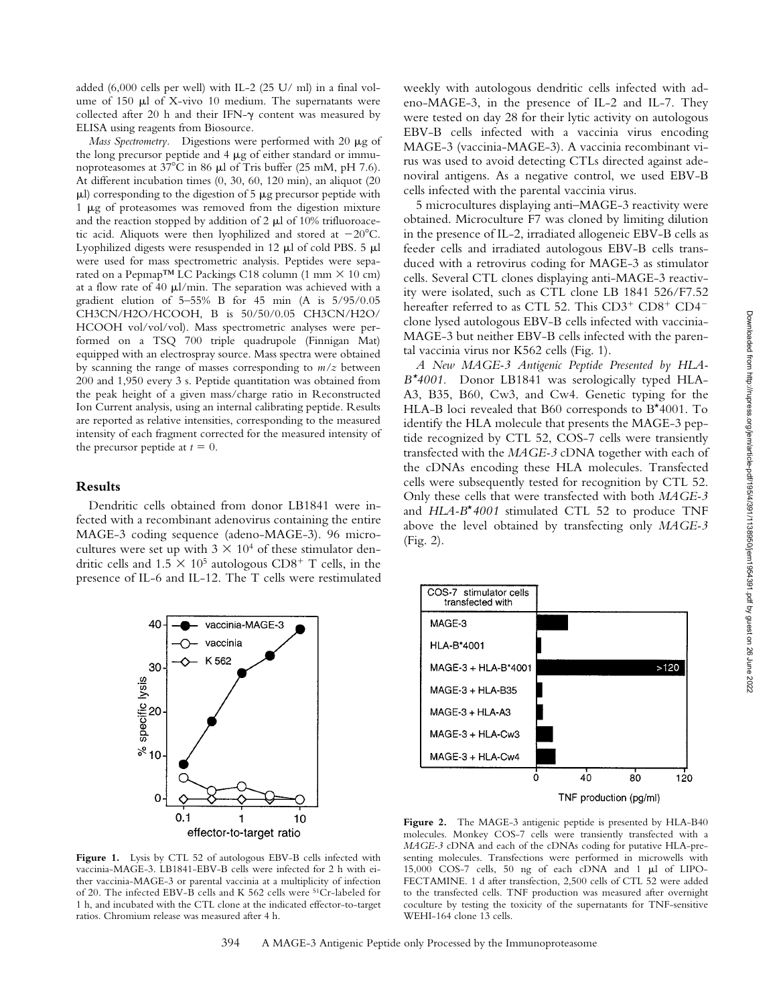added (6,000 cells per well) with IL-2 (25 U/ ml) in a final volume of 150  $\mu$ l of X-vivo 10 medium. The supernatants were collected after 20 h and their IFN- $\gamma$  content was measured by ELISA using reagents from Biosource.

*Mass Spectrometry.* Digestions were performed with 20  $\mu$ g of the long precursor peptide and  $4 \mu$ g of either standard or immunoproteasomes at  $37^{\circ}$ C in 86 µl of Tris buffer (25 mM, pH 7.6). At different incubation times (0, 30, 60, 120 min), an aliquot (20  $\mu$ l) corresponding to the digestion of 5  $\mu$ g precursor peptide with  $1 \mu$ g of proteasomes was removed from the digestion mixture and the reaction stopped by addition of 2  $\mu$ l of 10% trifluoroacetic acid. Aliquots were then lyophilized and stored at  $-20^{\circ}$ C. Lyophilized digests were resuspended in 12  $\mu$ l of cold PBS. 5  $\mu$ l were used for mass spectrometric analysis. Peptides were separated on a Pepmap<sup>TM</sup> LC Packings C18 column (1 mm  $\times$  10 cm) at a flow rate of 40  $\mu$ l/min. The separation was achieved with a gradient elution of 5–55% B for 45 min (A is 5/95/0.05 CH3CN/H2O/HCOOH, B is 50/50/0.05 CH3CN/H2O/ HCOOH vol/vol/vol). Mass spectrometric analyses were performed on a TSQ 700 triple quadrupole (Finnigan Mat) equipped with an electrospray source. Mass spectra were obtained by scanning the range of masses corresponding to *m/z* between 200 and 1,950 every 3 s. Peptide quantitation was obtained from the peak height of a given mass/charge ratio in Reconstructed Ion Current analysis, using an internal calibrating peptide. Results are reported as relative intensities, corresponding to the measured intensity of each fragment corrected for the measured intensity of the precursor peptide at  $t = 0$ .

# **Results**

Dendritic cells obtained from donor LB1841 were infected with a recombinant adenovirus containing the entire MAGE-3 coding sequence (adeno-MAGE-3). 96 microcultures were set up with  $3 \times 10^4$  of these stimulator dendritic cells and  $1.5 \times 10^5$  autologous CD8<sup>+</sup> T cells, in the presence of IL-6 and IL-12. The T cells were restimulated



**Figure 1.** Lysis by CTL 52 of autologous EBV-B cells infected with vaccinia-MAGE-3. LB1841-EBV-B cells were infected for 2 h with either vaccinia-MAGE-3 or parental vaccinia at a multiplicity of infection of 20. The infected EBV-B cells and K 562 cells were 51Cr-labeled for 1 h, and incubated with the CTL clone at the indicated effector-to-target ratios. Chromium release was measured after 4 h.

weekly with autologous dendritic cells infected with adeno-MAGE-3, in the presence of IL-2 and IL-7. They were tested on day 28 for their lytic activity on autologous EBV-B cells infected with a vaccinia virus encoding MAGE-3 (vaccinia-MAGE-3). A vaccinia recombinant virus was used to avoid detecting CTLs directed against adenoviral antigens. As a negative control, we used EBV-B cells infected with the parental vaccinia virus.

5 microcultures displaying anti–MAGE-3 reactivity were obtained. Microculture F7 was cloned by limiting dilution in the presence of IL-2, irradiated allogeneic EBV-B cells as feeder cells and irradiated autologous EBV-B cells transduced with a retrovirus coding for MAGE-3 as stimulator cells. Several CTL clones displaying anti-MAGE-3 reactivity were isolated, such as CTL clone LB 1841 526/F7.52 hereafter referred to as CTL 52. This CD3<sup>+</sup> CD8<sup>+</sup> CD4<sup>-</sup> clone lysed autologous EBV-B cells infected with vaccinia-MAGE-3 but neither EBV-B cells infected with the parental vaccinia virus nor K562 cells (Fig. 1).

*A New MAGE-3 Antigenic Peptide Presented by HLA-B\*4001.* Donor LB1841 was serologically typed HLA-A3, B35, B60, Cw3, and Cw4. Genetic typing for the HLA-B loci revealed that B60 corresponds to B\*4001. To identify the HLA molecule that presents the MAGE-3 peptide recognized by CTL 52, COS-7 cells were transiently transfected with the *MAGE-3* cDNA together with each of the cDNAs encoding these HLA molecules. Transfected cells were subsequently tested for recognition by CTL 52. Only these cells that were transfected with both *MAGE-3* and *HLA-B*\**4001* stimulated CTL 52 to produce TNF above the level obtained by transfecting only *MAGE-3* (Fig. 2).



**Figure 2.** The MAGE-3 antigenic peptide is presented by HLA-B40 molecules. Monkey COS-7 cells were transiently transfected with a *MAGE-3* cDNA and each of the cDNAs coding for putative HLA-presenting molecules. Transfections were performed in microwells with 15,000 COS-7 cells, 50 ng of each cDNA and 1  $\mu$ l of LIPO-FECTAMINE. 1 d after transfection, 2,500 cells of CTL 52 were added to the transfected cells. TNF production was measured after overnight coculture by testing the toxicity of the supernatants for TNF-sensitive WEHI-164 clone 13 cells.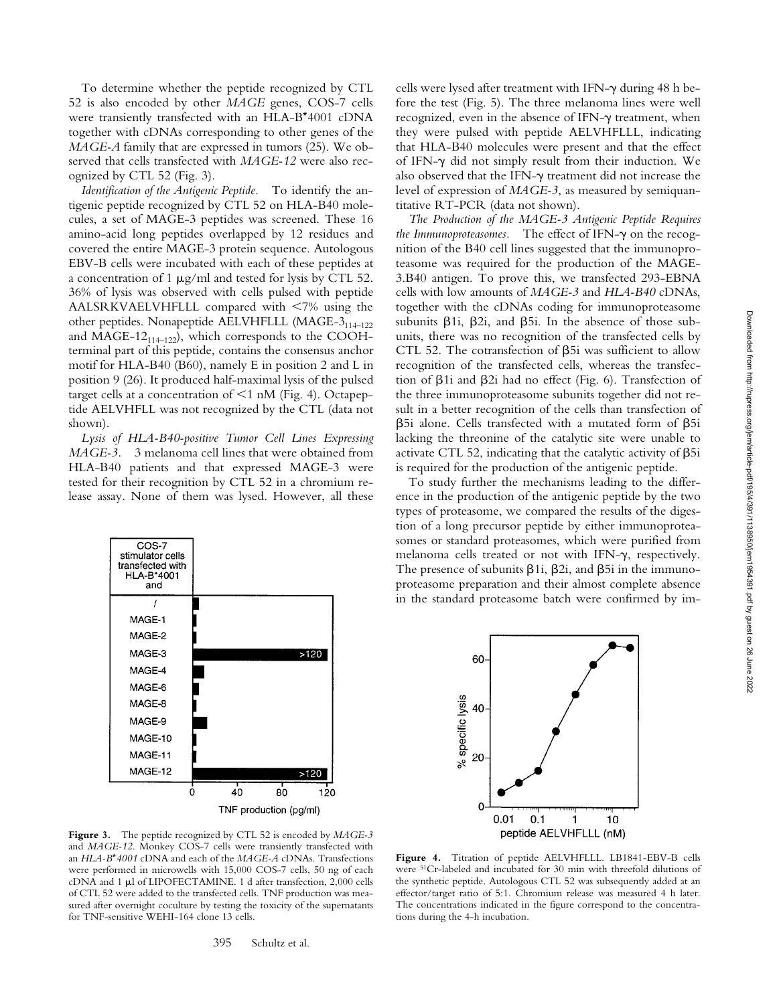To determine whether the peptide recognized by CTL 52 is also encoded by other *MAGE* genes, COS-7 cells were transiently transfected with an HLA-B\*4001 cDNA together with cDNAs corresponding to other genes of the *MAGE-A* family that are expressed in tumors (25). We observed that cells transfected with *MAGE-12* were also recognized by CTL 52 (Fig. 3).

*Identification of the Antigenic Peptide.* To identify the antigenic peptide recognized by CTL 52 on HLA-B40 molecules, a set of MAGE-3 peptides was screened. These 16 amino-acid long peptides overlapped by 12 residues and covered the entire MAGE-3 protein sequence. Autologous EBV-B cells were incubated with each of these peptides at a concentration of 1  $\mu$ g/ml and tested for lysis by CTL 52. 36% of lysis was observed with cells pulsed with peptide AALSRKVAELVHFLLL compared with  $\leq 7\%$  using the other peptides. Nonapeptide AELVHFLLL (MAGE-3<sub>114-122</sub>) and MAGE-12 $_{114-122}$ ), which corresponds to the COOHterminal part of this peptide, contains the consensus anchor motif for HLA-B40 (B60), namely E in position 2 and L in position 9 (26). It produced half-maximal lysis of the pulsed target cells at a concentration of  $\leq 1$  nM (Fig. 4). Octapeptide AELVHFLL was not recognized by the CTL (data not shown).

*Lysis of HLA-B40-positive Tumor Cell Lines Expressing MAGE-3.* 3 melanoma cell lines that were obtained from HLA-B40 patients and that expressed MAGE-3 were tested for their recognition by CTL 52 in a chromium release assay. None of them was lysed. However, all these



**Figure 3.** The peptide recognized by CTL 52 is encoded by *MAGE-3* and *MAGE-12*. Monkey COS-7 cells were transiently transfected with an *HLA-B*\**4001* cDNA and each of the *MAGE-A* cDNAs. Transfections were performed in microwells with 15,000 COS-7 cells, 50 ng of each cDNA and 1 µl of LIPOFECTAMINE. 1 d after transfection, 2,000 cells of CTL 52 were added to the transfected cells. TNF production was measured after overnight coculture by testing the toxicity of the supernatants for TNF-sensitive WEHI-164 clone 13 cells.

cells were lysed after treatment with IFN- $\gamma$  during 48 h before the test (Fig. 5). The three melanoma lines were well recognized, even in the absence of IFN- $\gamma$  treatment, when they were pulsed with peptide AELVHFLLL, indicating that HLA-B40 molecules were present and that the effect of IFN- $\gamma$  did not simply result from their induction. We also observed that the IFN- $\gamma$  treatment did not increase the level of expression of *MAGE-3*, as measured by semiquantitative RT-PCR (data not shown).

*The Production of the MAGE-3 Antigenic Peptide Requires the Immunoproteasomes.* The effect of IFN- $\gamma$  on the recognition of the B40 cell lines suggested that the immunoproteasome was required for the production of the MAGE-3.B40 antigen. To prove this, we transfected 293-EBNA cells with low amounts of *MAGE-3* and *HLA-B40* cDNAs, together with the cDNAs coding for immunoproteasome subunits  $\beta$ 1i,  $\beta$ 2i, and  $\beta$ 5i. In the absence of those subunits, there was no recognition of the transfected cells by CTL 52. The cotransfection of  $\beta$ 5i was sufficient to allow recognition of the transfected cells, whereas the transfection of  $\beta$ 1i and  $\beta$ 2i had no effect (Fig. 6). Transfection of the three immunoproteasome subunits together did not result in a better recognition of the cells than transfection of  $\beta$ 5i alone. Cells transfected with a mutated form of  $\beta$ 5i lacking the threonine of the catalytic site were unable to activate CTL 52, indicating that the catalytic activity of  $\beta$ 5i is required for the production of the antigenic peptide.

To study further the mechanisms leading to the difference in the production of the antigenic peptide by the two types of proteasome, we compared the results of the digestion of a long precursor peptide by either immunoproteasomes or standard proteasomes, which were purified from melanoma cells treated or not with IFN- $\gamma$ , respectively. The presence of subunits  $\beta$ 1i,  $\beta$ 2i, and  $\beta$ 5i in the immunoproteasome preparation and their almost complete absence in the standard proteasome batch were confirmed by im-



**Figure 4.** Titration of peptide AELVHFLLL. LB1841-EBV-B cells were 51Cr-labeled and incubated for 30 min with threefold dilutions of the synthetic peptide. Autologous CTL 52 was subsequently added at an effector/target ratio of 5:1. Chromium release was measured 4 h later. The concentrations indicated in the figure correspond to the concentrations during the 4-h incubation.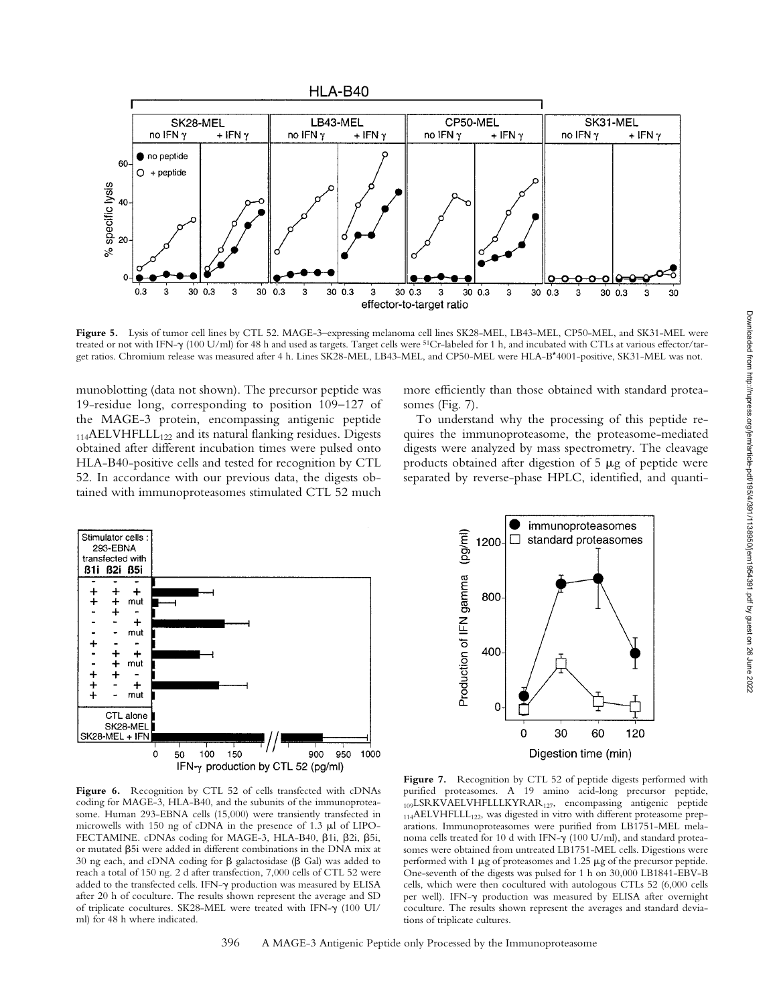

SK31-MEL

CP50-MEL

digests were analyzed by mass spectrometry. The cleavage products obtained after digestion of  $5 \mu g$  of peptide were separated by reverse-phase HPLC, identified, and quanti-



munoblotting (data not shown). The precursor peptide was 19-residue long, corresponding to position 109–127 of the MAGE-3 protein, encompassing antigenic peptide  $_{114}$ AELVHFLLL<sub>122</sub> and its natural flanking residues. Digests obtained after different incubation times were pulsed onto HLA-B40-positive cells and tested for recognition by CTL 52. In accordance with our previous data, the digests obtained with immunoproteasomes stimulated CTL 52 much

3

30

 $0.3$ 

SK28-MEL

30  $0.3$   $+$  IFN  $\gamma$ 

no IFN γ

no peptide

 $O +$  peptide

60

20 ್

O

 $0.3$ 

specific lysis 40 HLA-B40

LB43-MEL

30 0.3

3

+ IFN  $\gamma$ 

no IFN γ

Figure 6. Recognition by CTL 52 of cells transfected with cDNAs coding for MAGE-3, HLA-B40, and the subunits of the immunoproteasome. Human 293-EBNA cells (15,000) were transiently transfected in microwells with 150 ng of cDNA in the presence of 1.3  $\mu$ l of LIPO-FECTAMINE. cDNAs coding for MAGE-3, HLA-B40,  $\beta$ 1i,  $\beta$ 2i,  $\beta$ 5i, or mutated  $\beta$ 5i were added in different combinations in the DNA mix at 30 ng each, and cDNA coding for  $\beta$  galactosidase ( $\beta$  Gal) was added to reach a total of 150 ng. 2 d after transfection, 7,000 cells of CTL 52 were added to the transfected cells. IFN- $\gamma$  production was measured by ELISA after 20 h of coculture. The results shown represent the average and SD of triplicate cocultures. SK28-MEL were treated with IFN- $\gamma$  (100 UI/ ml) for 48 h where indicated.

immunoproteasomes Production of IFN gamma (pg/ml) standard proteasomes Г 1200 800 400  $\mathbf 0$  $\mathbf 0$ 30 60 120 Digestion time (min)

Figure 7. Recognition by CTL 52 of peptide digests performed with purified proteasomes. A 19 amino acid-long precursor peptide, 109LSRKVAELVHFLLLKYRAR<sub>127</sub>, encompassing antigenic peptide 114AELVHFLLL<sub>122</sub>, was digested in vitro with different proteasome preparations. Immunoproteasomes were purified from LB1751-MEL melanoma cells treated for 10 d with IFN- $\gamma$  (100 U/ml), and standard proteasomes were obtained from untreated LB1751-MEL cells. Digestions were performed with 1  $\mu$ g of proteasomes and 1.25  $\mu$ g of the precursor peptide. One-seventh of the digests was pulsed for 1 h on 30,000 LB1841-EBV-B cells, which were then cocultured with autologous CTLs 52 (6,000 cells per well). IFN- $\gamma$  production was measured by ELISA after overnight coculture. The results shown represent the averages and standard deviations of triplicate cultures.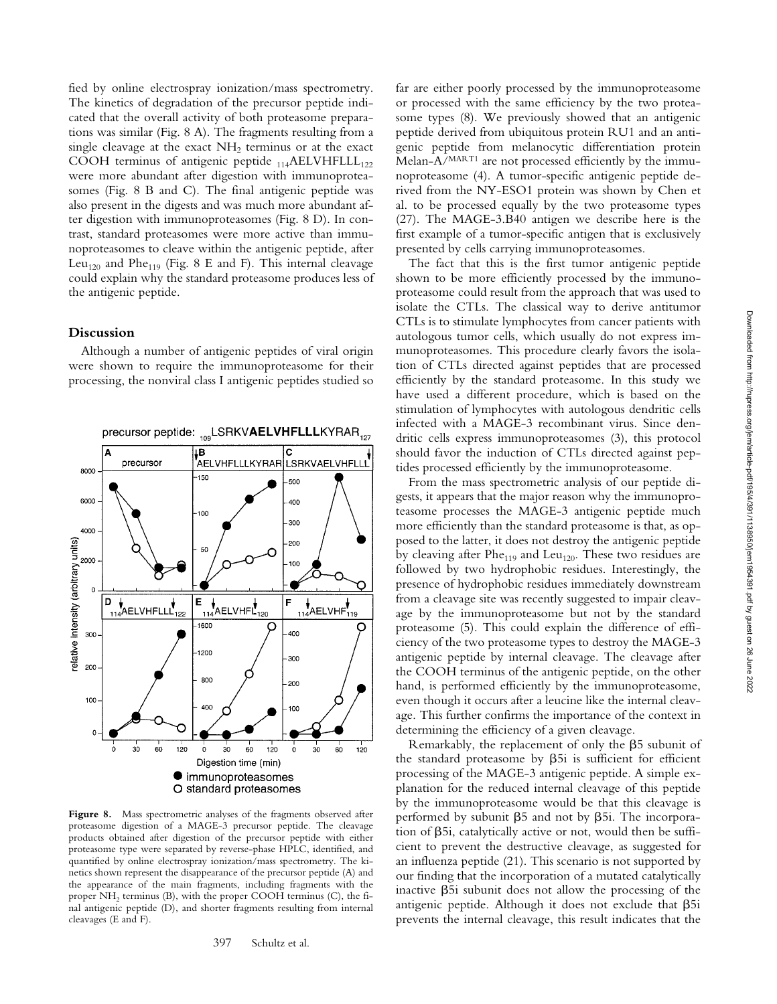fied by online electrospray ionization/mass spectrometry. The kinetics of degradation of the precursor peptide indicated that the overall activity of both proteasome preparations was similar (Fig. 8 A). The fragments resulting from a single cleavage at the exact  $NH<sub>2</sub>$  terminus or at the exact COOH terminus of antigenic peptide  $_{114}$ AELVHFLLL<sub>122</sub> were more abundant after digestion with immunoproteasomes (Fig. 8 B and C). The final antigenic peptide was also present in the digests and was much more abundant after digestion with immunoproteasomes (Fig. 8 D). In contrast, standard proteasomes were more active than immunoproteasomes to cleave within the antigenic peptide, after Leu<sub>120</sub> and Phe<sub>119</sub> (Fig. 8 E and F). This internal cleavage could explain why the standard proteasome produces less of the antigenic peptide.

## **Discussion**

Although a number of antigenic peptides of viral origin were shown to require the immunoproteasome for their processing, the nonviral class I antigenic peptides studied so



Figure 8. Mass spectrometric analyses of the fragments observed after proteasome digestion of a MAGE-3 precursor peptide. The cleavage products obtained after digestion of the precursor peptide with either proteasome type were separated by reverse-phase HPLC, identified, and quantified by online electrospray ionization/mass spectrometry. The kinetics shown represent the disappearance of the precursor peptide (A) and the appearance of the main fragments, including fragments with the proper  $NH<sub>2</sub>$  terminus (B), with the proper COOH terminus (C), the final antigenic peptide (D), and shorter fragments resulting from internal cleavages (E and F).

far are either poorly processed by the immunoproteasome or processed with the same efficiency by the two proteasome types (8). We previously showed that an antigenic peptide derived from ubiquitous protein RU1 and an antigenic peptide from melanocytic differentiation protein Melan- $A/M^{MART1}$  are not processed efficiently by the immunoproteasome (4). A tumor-specific antigenic peptide derived from the NY-ESO1 protein was shown by Chen et al. to be processed equally by the two proteasome types (27). The MAGE-3.B40 antigen we describe here is the first example of a tumor-specific antigen that is exclusively presented by cells carrying immunoproteasomes.

The fact that this is the first tumor antigenic peptide shown to be more efficiently processed by the immunoproteasome could result from the approach that was used to isolate the CTLs. The classical way to derive antitumor CTLs is to stimulate lymphocytes from cancer patients with autologous tumor cells, which usually do not express immunoproteasomes. This procedure clearly favors the isolation of CTLs directed against peptides that are processed efficiently by the standard proteasome. In this study we have used a different procedure, which is based on the stimulation of lymphocytes with autologous dendritic cells infected with a MAGE-3 recombinant virus. Since dendritic cells express immunoproteasomes (3), this protocol should favor the induction of CTLs directed against peptides processed efficiently by the immunoproteasome.

From the mass spectrometric analysis of our peptide digests, it appears that the major reason why the immunoproteasome processes the MAGE-3 antigenic peptide much more efficiently than the standard proteasome is that, as opposed to the latter, it does not destroy the antigenic peptide by cleaving after  $Phe_{119}$  and Leu<sub>120</sub>. These two residues are followed by two hydrophobic residues. Interestingly, the presence of hydrophobic residues immediately downstream from a cleavage site was recently suggested to impair cleavage by the immunoproteasome but not by the standard proteasome (5). This could explain the difference of efficiency of the two proteasome types to destroy the MAGE-3 antigenic peptide by internal cleavage. The cleavage after the COOH terminus of the antigenic peptide, on the other hand, is performed efficiently by the immunoproteasome, even though it occurs after a leucine like the internal cleavage. This further confirms the importance of the context in determining the efficiency of a given cleavage.

Remarkably, the replacement of only the  $\beta$ 5 subunit of the standard proteasome by  $\beta$ 5i is sufficient for efficient processing of the MAGE-3 antigenic peptide. A simple explanation for the reduced internal cleavage of this peptide by the immunoproteasome would be that this cleavage is performed by subunit  $\beta$ 5 and not by  $\beta$ 5i. The incorporation of  $\beta$ 5i, catalytically active or not, would then be sufficient to prevent the destructive cleavage, as suggested for an influenza peptide (21). This scenario is not supported by our finding that the incorporation of a mutated catalytically inactive  $\beta$ 5i subunit does not allow the processing of the antigenic peptide. Although it does not exclude that  $\beta$ 5i prevents the internal cleavage, this result indicates that the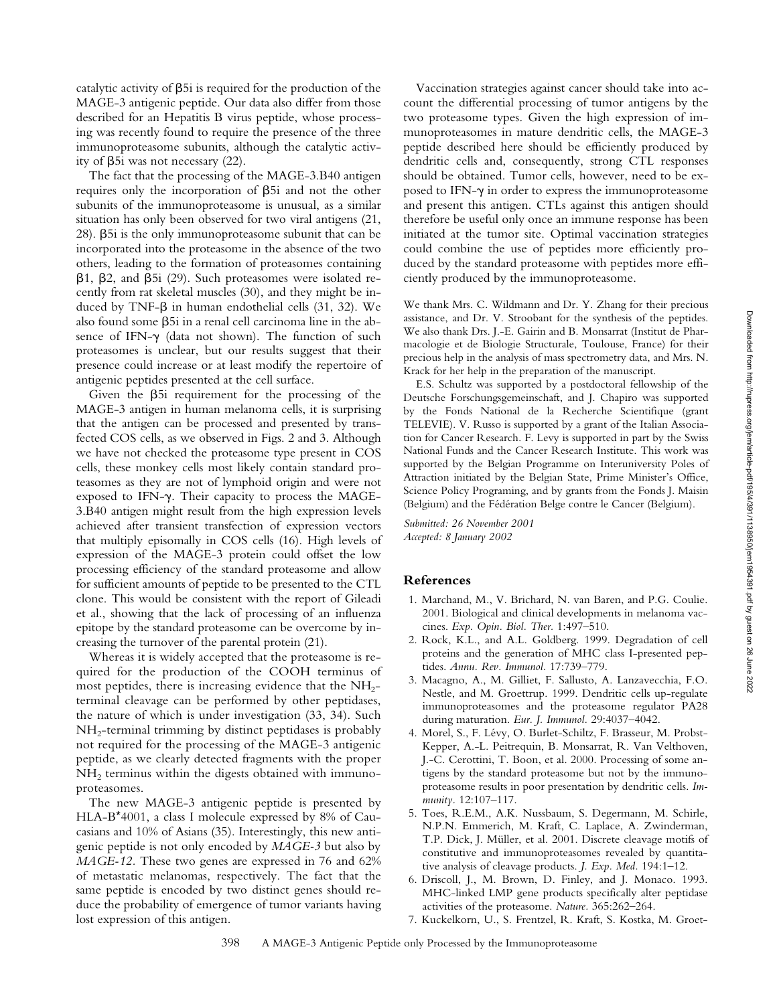catalytic activity of  $\beta$ 5i is required for the production of the MAGE-3 antigenic peptide. Our data also differ from those described for an Hepatitis B virus peptide, whose processing was recently found to require the presence of the three immunoproteasome subunits, although the catalytic activity of  $\beta$ 5i was not necessary (22).

The fact that the processing of the MAGE-3.B40 antigen requires only the incorporation of  $\beta$ 5i and not the other subunits of the immunoproteasome is unusual, as a similar situation has only been observed for two viral antigens (21, 28).  $\beta$ 5i is the only immunoproteasome subunit that can be incorporated into the proteasome in the absence of the two others, leading to the formation of proteasomes containing  $\beta$ 1,  $\beta$ 2, and  $\beta$ 5i (29). Such proteasomes were isolated recently from rat skeletal muscles (30), and they might be induced by TNF- $\beta$  in human endothelial cells (31, 32). We also found some  $\beta$ 5i in a renal cell carcinoma line in the absence of IFN- $\gamma$  (data not shown). The function of such proteasomes is unclear, but our results suggest that their presence could increase or at least modify the repertoire of antigenic peptides presented at the cell surface.

Given the  $\beta$ 5*i* requirement for the processing of the MAGE-3 antigen in human melanoma cells, it is surprising that the antigen can be processed and presented by transfected COS cells, as we observed in Figs. 2 and 3. Although we have not checked the proteasome type present in COS cells, these monkey cells most likely contain standard proteasomes as they are not of lymphoid origin and were not exposed to IFN- $\gamma$ . Their capacity to process the MAGE-3.B40 antigen might result from the high expression levels achieved after transient transfection of expression vectors that multiply episomally in COS cells (16). High levels of expression of the MAGE-3 protein could offset the low processing efficiency of the standard proteasome and allow for sufficient amounts of peptide to be presented to the CTL clone. This would be consistent with the report of Gileadi et al., showing that the lack of processing of an influenza epitope by the standard proteasome can be overcome by increasing the turnover of the parental protein (21).

Whereas it is widely accepted that the proteasome is required for the production of the COOH terminus of most peptides, there is increasing evidence that the  $NH<sub>2</sub>$ terminal cleavage can be performed by other peptidases, the nature of which is under investigation (33, 34). Such NH2-terminal trimming by distinct peptidases is probably not required for the processing of the MAGE-3 antigenic peptide, as we clearly detected fragments with the proper NH2 terminus within the digests obtained with immunoproteasomes.

The new MAGE-3 antigenic peptide is presented by HLA-B\*4001, a class I molecule expressed by 8% of Caucasians and 10% of Asians (35). Interestingly, this new antigenic peptide is not only encoded by *MAGE-3* but also by *MAGE-12.* These two genes are expressed in 76 and 62% of metastatic melanomas, respectively. The fact that the same peptide is encoded by two distinct genes should reduce the probability of emergence of tumor variants having lost expression of this antigen.

Vaccination strategies against cancer should take into account the differential processing of tumor antigens by the two proteasome types. Given the high expression of immunoproteasomes in mature dendritic cells, the MAGE-3 peptide described here should be efficiently produced by dendritic cells and, consequently, strong CTL responses should be obtained. Tumor cells, however, need to be exposed to IFN- $\gamma$  in order to express the immunoproteasome and present this antigen. CTLs against this antigen should therefore be useful only once an immune response has been initiated at the tumor site. Optimal vaccination strategies could combine the use of peptides more efficiently produced by the standard proteasome with peptides more efficiently produced by the immunoproteasome.

We thank Mrs. C. Wildmann and Dr. Y. Zhang for their precious assistance, and Dr. V. Stroobant for the synthesis of the peptides. We also thank Drs. J.-E. Gairin and B. Monsarrat (Institut de Pharmacologie et de Biologie Structurale, Toulouse, France) for their precious help in the analysis of mass spectrometry data, and Mrs. N. Krack for her help in the preparation of the manuscript.

E.S. Schultz was supported by a postdoctoral fellowship of the Deutsche Forschungsgemeinschaft, and J. Chapiro was supported by the Fonds National de la Recherche Scientifique (grant TELEVIE). V. Russo is supported by a grant of the Italian Association for Cancer Research. F. Levy is supported in part by the Swiss National Funds and the Cancer Research Institute. This work was supported by the Belgian Programme on Interuniversity Poles of Attraction initiated by the Belgian State, Prime Minister's Office, Science Policy Programing, and by grants from the Fonds J. Maisin (Belgium) and the Fédération Belge contre le Cancer (Belgium).

*Submitted: 26 November 2001 Accepted: 8 January 2002*

#### **References**

- 1. Marchand, M., V. Brichard, N. van Baren, and P.G. Coulie. 2001. Biological and clinical developments in melanoma vaccines. *Exp. Opin. Biol. Ther.* 1:497–510.
- 2. Rock, K.L., and A.L. Goldberg. 1999. Degradation of cell proteins and the generation of MHC class I-presented peptides. *Annu. Rev. Immunol.* 17:739–779.
- 3. Macagno, A., M. Gilliet, F. Sallusto, A. Lanzavecchia, F.O. Nestle, and M. Groettrup. 1999. Dendritic cells up-regulate immunoproteasomes and the proteasome regulator PA28 during maturation. *Eur. J. Immunol.* 29:4037–4042.
- 4. Morel, S., F. Lévy, O. Burlet-Schiltz, F. Brasseur, M. Probst-Kepper, A.-L. Peitrequin, B. Monsarrat, R. Van Velthoven, J.-C. Cerottini, T. Boon, et al. 2000. Processing of some antigens by the standard proteasome but not by the immunoproteasome results in poor presentation by dendritic cells. *Immunity.* 12:107–117.
- 5. Toes, R.E.M., A.K. Nussbaum, S. Degermann, M. Schirle, N.P.N. Emmerich, M. Kraft, C. Laplace, A. Zwinderman, T.P. Dick, J. Müller, et al. 2001. Discrete cleavage motifs of constitutive and immunoproteasomes revealed by quantitative analysis of cleavage products. *J. Exp. Med.* 194:1–12.
- 6. Driscoll, J., M. Brown, D. Finley, and J. Monaco. 1993. MHC-linked LMP gene products specifically alter peptidase activities of the proteasome. *Nature.* 365:262–264.
- 7. Kuckelkorn, U., S. Frentzel, R. Kraft, S. Kostka, M. Groet-